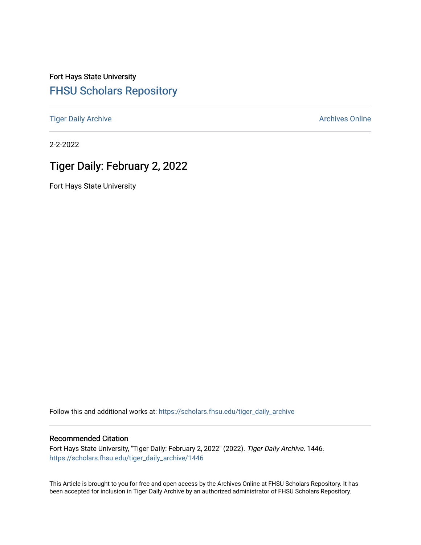Fort Hays State University [FHSU Scholars Repository](https://scholars.fhsu.edu/) 

[Tiger Daily Archive](https://scholars.fhsu.edu/tiger_daily_archive) **Archives** Online Archives Online

2-2-2022

# Tiger Daily: February 2, 2022

Fort Hays State University

Follow this and additional works at: [https://scholars.fhsu.edu/tiger\\_daily\\_archive](https://scholars.fhsu.edu/tiger_daily_archive?utm_source=scholars.fhsu.edu%2Ftiger_daily_archive%2F1446&utm_medium=PDF&utm_campaign=PDFCoverPages)

## Recommended Citation

Fort Hays State University, "Tiger Daily: February 2, 2022" (2022). Tiger Daily Archive. 1446. [https://scholars.fhsu.edu/tiger\\_daily\\_archive/1446](https://scholars.fhsu.edu/tiger_daily_archive/1446?utm_source=scholars.fhsu.edu%2Ftiger_daily_archive%2F1446&utm_medium=PDF&utm_campaign=PDFCoverPages)

This Article is brought to you for free and open access by the Archives Online at FHSU Scholars Repository. It has been accepted for inclusion in Tiger Daily Archive by an authorized administrator of FHSU Scholars Repository.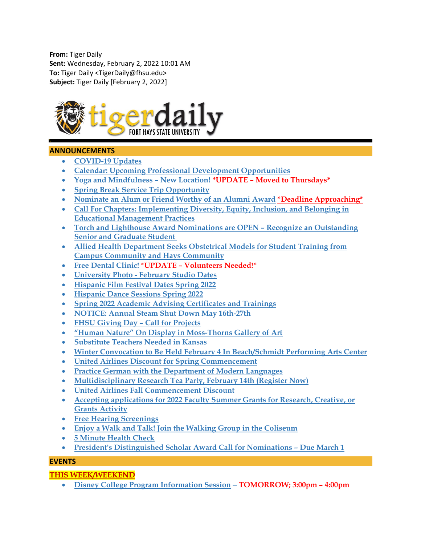**From:** Tiger Daily **Sent:** Wednesday, February 2, 2022 10:01 AM **To:** Tiger Daily <TigerDaily@fhsu.edu> **Subject:** Tiger Daily [February 2, 2022]



## **ANNOUNCEMENTS**

- **[COVID-19 Updates](#page-2-0)**
- **[Calendar: Upcoming Professional Development Opportunities](#page-2-1)**
- **[Yoga and Mindfulness –](#page-3-0) New Location! \*UPDATE – Moved to Thursdays\***
- **[Spring Break Service Trip Opportunity](#page-3-1)**
- **[Nominate an Alum or Friend Worthy of an Alumni Award](#page-3-2) \*Deadline Approaching\***
- **Call For [Chapters: Implementing Diversity, Equity, Inclusion, and Belonging in](#page-3-3)  [Educational Management Practices](#page-3-3)**
- **[Torch and Lighthouse Award Nominations are OPEN –](#page-3-4) Recognize an Outstanding [Senior and Graduate Student](#page-3-4)**
- **[Allied Health Department Seeks Obstetrical Models for Student Training from](#page-4-0)  [Campus Community and Hays Community](#page-4-0)**
- **[Free Dental Clinic!](#page-4-1) \*UPDATE – Volunteers Needed!\***
- **University Photo - [February Studio Dates](#page-4-2)**
- **[Hispanic Film Festival Dates Spring 2022](#page-5-0)**
- **[Hispanic Dance Sessions Spring 2022](#page-5-1)**
- **[Spring 2022 Academic Advising Certificates and Trainings](#page-6-0)**
- **[NOTICE: Annual Steam Shut Down May 16th-27th](#page-7-0)**
- **[FHSU Giving Day –](#page-8-0) Call for Projects**
- **["Human Nature" On Display in Moss-Thorns Gallery of Art](#page-8-1)**
- **[Substitute Teachers Needed in Kansas](#page-8-2)**
- **[Winter Convocation to Be Held February 4 In Beach/Schmidt Performing Arts Center](#page-9-0)**
- **[United Airlines Discount for Spring Commencement](#page-9-1)**
- **Practice [German with the Department of Modern Languages](#page-10-0)**
- **Multidisciplinary Research Tea Party, February 14th (Register Now)**
- **[United Airlines Fall Commencement Discount](#page-10-1)**
- **[Accepting applications for 2022 Faculty Summer Grants for Research, Creative, or](#page-10-2)  [Grants Activity](#page-10-2)**
- **[Free Hearing Screenings](#page-11-0)**
- **[Enjoy a Walk and Talk! Join the Walking Group in the Coliseum](#page-11-1)**
- **[5 Minute Health Check](#page-11-2)**
- **[President's Distinguished Scholar Award Call for Nominations –](#page-11-3) Due March 1**

## **EVENTS**

## **THIS WEEK/WEEKEND**

• **[Disney College Program Information Session](#page-11-4) – TOMORROW; 3:00pm – 4:00pm**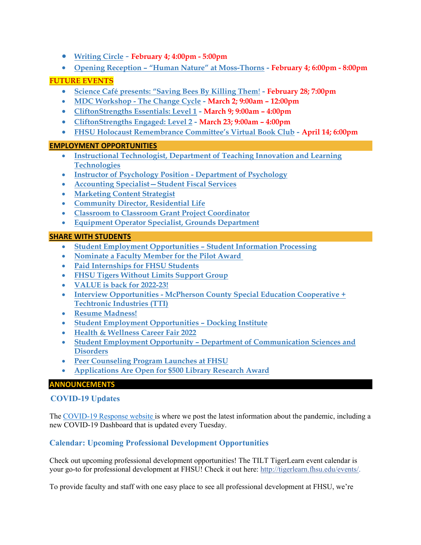- **[Writing Circle](#page-12-0) February 4; 4:00pm - 5:00pm**
- **Opening Reception – ["Human Nature" at Moss-Thorns](#page-12-0) - February 4; 6:00pm - 8:00pm**

## **FUTURE EVENTS**

- **[Science Café presents: "Saving Bees By Killing Them](#page-12-1)**! **- February 28; 7:00pm**
- **MDC Workshop - [The Change Cycle](#page-12-2) - March 2; 9:00am – 12:00pm**
- **[CliftonStrengths Essentials: Level 1](#page-12-1) - March 9; 9:00am – 4:00pm**
- **[CliftonStrengths Engaged: Level 2](#page-13-0) - March 23; 9:00am – 4:00pm**
- **[FHSU Holocaust Remembrance Committee's Virtual Book Club](#page-13-1) - April 14; 6:00pm**

## **EMPLOYMENT OPPORTUNITIES**

- **[Instructional Technologist, Department of Teaching Innovation and Learning](#page-13-2)  [Technologies](#page-13-2)**
- **[Instructor of Psychology Position -](#page-14-0) Department of Psychology**
- **[Accounting Specialist—Student Fiscal Services](#page-14-1)**
- **[Marketing Content Strategist](#page-15-0)**
- **[Community Director, Residential Life](#page-15-1)**
- **[Classroom to Classroom Grant Project Coordinator](#page-16-0)**
- **[Equipment Operator Specialist, Grounds Department](#page-16-1)**

## **SHARE WITH STUDENTS**

- **[Student Employment Opportunities –](#page-16-2) Student Information Processing**
- **[Nominate a Faculty Member for the Pilot Award](#page-16-3)**
- **[Paid Internships for FHSU Students](#page-17-0)**
- **[FHSU Tigers Without Limits Support Group](#page-17-1)**
- **[VALUE is back for 2022-23!](#page-18-0)**
- **Interview Opportunities - [McPherson County Special Education Cooperative +](#page-18-1)  [Techtronic Industries \(TTI\)](#page-18-1)**
- **[Resume Madness!](#page-19-0)**
- **[Student Employment Opportunities –](#page-19-1) Docking Institute**
- **[Health & Wellness Career Fair 2022](#page-19-2)**
- **Student Employment Opportunity – [Department of Communication Sciences and](#page-20-0)  [Disorders](#page-20-0)**
- **[Peer Counseling Program Launches at FHSU](#page-20-1)**
- <span id="page-2-0"></span>• **[Applications Are Open for \\$500 Library Research Award](#page-20-2)**

#### **ANNOUNCEMENTS**

## **COVID-19 Updates**

The [COVID-19 Response website](https://www.fhsu.edu/covid-19-response/index) is where we post the latest information about the pandemic, including a new COVID-19 Dashboard that is updated every Tuesday.

## <span id="page-2-1"></span>**Calendar: Upcoming Professional Development Opportunities**

Check out upcoming professional development opportunities! The TILT TigerLearn event calendar is your go-to for professional development at FHSU! Check it out here: [http://tigerlearn.fhsu.edu/events/.](http://tigerlearn.fhsu.edu/events/)

To provide faculty and staff with one easy place to see all professional development at FHSU, we're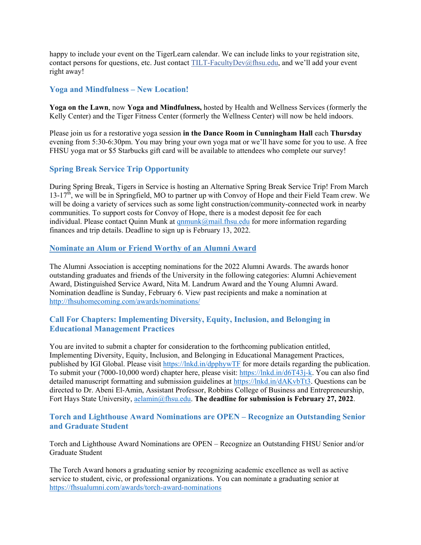happy to include your event on the TigerLearn calendar. We can include links to your registration site, contact persons for questions, etc. Just contact [TILT-FacultyDev@fhsu.edu,](mailto:TILT-FacultyDev@fhsu.edu) and we'll add your event right away!

## <span id="page-3-0"></span>**Yoga and Mindfulness – New Location!**

**Yoga on the Lawn**, now **Yoga and Mindfulness,** hosted by Health and Wellness Services (formerly the Kelly Center) and the Tiger Fitness Center (formerly the Wellness Center) will now be held indoors.

Please join us for a restorative yoga session **in the Dance Room in Cunningham Hall** each **Thursday** evening from 5:30-6:30pm. You may bring your own yoga mat or we'll have some for you to use. A free FHSU yoga mat or \$5 Starbucks gift card will be available to attendees who complete our survey!

## <span id="page-3-1"></span>**Spring Break Service Trip Opportunity**

During Spring Break, Tigers in Service is hosting an Alternative Spring Break Service Trip! From March  $13-17<sup>th</sup>$ , we will be in Springfield, MO to partner up with Convoy of Hope and their Field Team crew. We will be doing a variety of services such as some light construction/community-connected work in nearby communities. To support costs for Convoy of Hope, there is a modest deposit fee for each individual. Please contact Quinn Munk at  $qnmunk@mail.fhsu.edu$  for more information regarding finances and trip details. Deadline to sign up is February 13, 2022.

## <span id="page-3-2"></span>**Nominate an Alum or Friend Worthy of an Alumni Award**

The Alumni Association is accepting nominations for the 2022 Alumni Awards. The awards honor outstanding graduates and friends of the University in the following categories: Alumni Achievement Award, Distinguished Service Award, Nita M. Landrum Award and the Young Alumni Award. Nomination deadline is Sunday, February 6. View past recipients and make a nomination at <http://fhsuhomecoming.com/awards/nominations/>

## <span id="page-3-3"></span>**Call For Chapters: Implementing Diversity, Equity, Inclusion, and Belonging in Educational Management Practices**

You are invited to submit a chapter for consideration to the forthcoming publication entitled, Implementing Diversity, Equity, Inclusion, and Belonging in Educational Management Practices, published by IGI Global. Please visit<https://lnkd.in/dpphywTF> for more details regarding the publication. To submit your (7000-10,000 word) chapter here, please visit: [https://lnkd.in/d6T43j-k.](https://lnkd.in/d6T43j-k) You can also find detailed manuscript formatting and submission guidelines at [https://lnkd.in/dAKvbTt3.](https://lnkd.in/dAKvbTt3) Questions can be directed to Dr. Abeni El-Amin, Assistant Professor, Robbins College of Business and Entrepreneurship, Fort Hays State University, [aelamin@fhsu.edu.](mailto:aelamin@fhsu.edu) **The deadline for submission is February 27, 2022**.

## <span id="page-3-4"></span>**Torch and Lighthouse Award Nominations are OPEN – Recognize an Outstanding Senior and Graduate Student**

Torch and Lighthouse Award Nominations are OPEN – Recognize an Outstanding FHSU Senior and/or Graduate Student

The Torch Award honors a graduating senior by recognizing academic excellence as well as active service to student, civic, or professional organizations. You can nominate a graduating senior at <https://fhsualumni.com/awards/torch-award-nominations>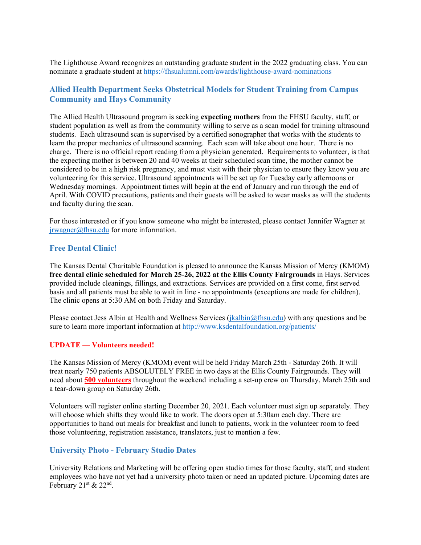The Lighthouse Award recognizes an outstanding graduate student in the 2022 graduating class. You can nominate a graduate student at<https://fhsualumni.com/awards/lighthouse-award-nominations>

## <span id="page-4-0"></span>**Allied Health Department Seeks Obstetrical Models for Student Training from Campus Community and Hays Community**

The Allied Health Ultrasound program is seeking **expecting mothers** from the FHSU faculty, staff, or student population as well as from the community willing to serve as a scan model for training ultrasound students. Each ultrasound scan is supervised by a certified sonographer that works with the students to learn the proper mechanics of ultrasound scanning. Each scan will take about one hour. There is no charge. There is no official report reading from a physician generated. Requirements to volunteer, is that the expecting mother is between 20 and 40 weeks at their scheduled scan time, the mother cannot be considered to be in a high risk pregnancy, and must visit with their physician to ensure they know you are volunteering for this service. Ultrasound appointments will be set up for Tuesday early afternoons or Wednesday mornings. Appointment times will begin at the end of January and run through the end of April. With COVID precautions, patients and their guests will be asked to wear masks as will the students and faculty during the scan.

For those interested or if you know someone who might be interested, please contact Jennifer Wagner at [jrwagner@fhsu.edu](mailto:jrwagner@fhsu.edu) for more information.

#### <span id="page-4-1"></span>**Free Dental Clinic!**

The Kansas Dental Charitable Foundation is pleased to announce the Kansas Mission of Mercy (KMOM) **free dental clinic scheduled for March 25-26, 2022 at the Ellis County Fairgrounds** in Hays. Services provided include cleanings, fillings, and extractions. Services are provided on a first come, first served basis and all patients must be able to wait in line - no appointments (exceptions are made for children). The clinic opens at 5:30 AM on both Friday and Saturday.

Please contact Jess Albin at Health and Wellness Services [\(jkalbin@fhsu.edu\)](mailto:jkalbin@fhsu.edu) with any questions and be sure to learn more important information at<http://www.ksdentalfoundation.org/patients/>

#### **UPDATE — Volunteers needed!**

The Kansas Mission of Mercy (KMOM) event will be held Friday March 25th - Saturday 26th. It will treat nearly 750 patients ABSOLUTELY FREE in two days at the Ellis County Fairgrounds. They will need about **500 volunteers** throughout the weekend including a set-up crew on Thursday, March 25th and a tear-down group on Saturday 26th.

Volunteers will register online starting December 20, 2021. Each volunteer must sign up separately. They will choose which shifts they would like to work. The doors open at 5:30am each day. There are opportunities to hand out meals for breakfast and lunch to patients, work in the volunteer room to feed those volunteering, registration assistance, translators, just to mention a few.

#### <span id="page-4-2"></span>**University Photo - February Studio Dates**

University Relations and Marketing will be offering open studio times for those faculty, staff, and student employees who have not yet had a university photo taken or need an updated picture. Upcoming dates are February  $21<sup>st</sup>$  &  $22<sup>nd</sup>$ .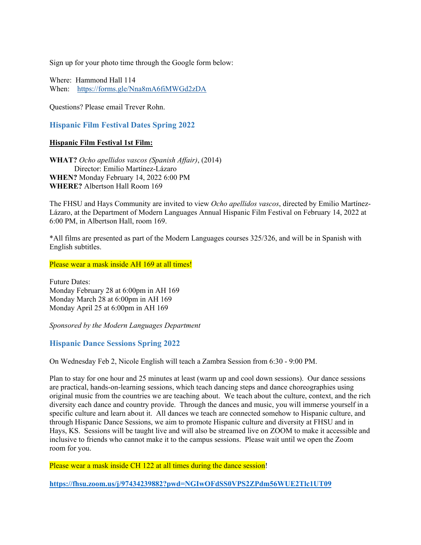Sign up for your photo time through the Google form below:

Where: Hammond Hall 114 When: <https://forms.gle/Nna8mA6fiMWGd2zDA>

Questions? Please email Trever Rohn.

<span id="page-5-0"></span>**Hispanic Film Festival Dates Spring 2022**

#### **Hispanic Film Festival 1st Film:**

**WHAT?** *Ocho apellidos vascos (Spanish Affair)*, (2014) Director: Emilio Martínez-Lázaro **WHEN?** Monday February 14, 2022 6:00 PM **WHERE?** Albertson Hall Room 169

The FHSU and Hays Community are invited to view *Ocho apellidos vascos*, directed by Emilio Martínez-Lázaro, at the Department of Modern Languages Annual Hispanic Film Festival on February 14, 2022 at 6:00 PM, in Albertson Hall, room 169.

\*All films are presented as part of the Modern Languages courses 325/326, and will be in Spanish with English subtitles.

Please wear a mask inside AH 169 at all times!

Future Dates: Monday February 28 at 6:00pm in AH 169 Monday March 28 at 6:00pm in AH 169 Monday April 25 at 6:00pm in AH 169

*Sponsored by the Modern Languages Department* 

#### <span id="page-5-1"></span>**Hispanic Dance Sessions Spring 2022**

On Wednesday Feb 2, Nicole English will teach a Zambra Session from 6:30 - 9:00 PM.

Plan to stay for one hour and 25 minutes at least (warm up and cool down sessions). Our dance sessions are practical, hands-on-learning sessions, which teach dancing steps and dance choreographies using original music from the countries we are teaching about. We teach about the culture, context, and the rich diversity each dance and country provide. Through the dances and music, you will immerse yourself in a specific culture and learn about it. All dances we teach are connected somehow to Hispanic culture, and through Hispanic Dance Sessions, we aim to promote Hispanic culture and diversity at FHSU and in Hays, KS. Sessions will be taught live and will also be streamed live on ZOOM to make it accessible and inclusive to friends who cannot make it to the campus sessions. Please wait until we open the Zoom room for you.

Please wear a mask inside CH 122 at all times during the dance session!

**<https://fhsu.zoom.us/j/97434239882?pwd=NGIwOFdSS0VPS2ZPdm56WUE2Tlc1UT09>**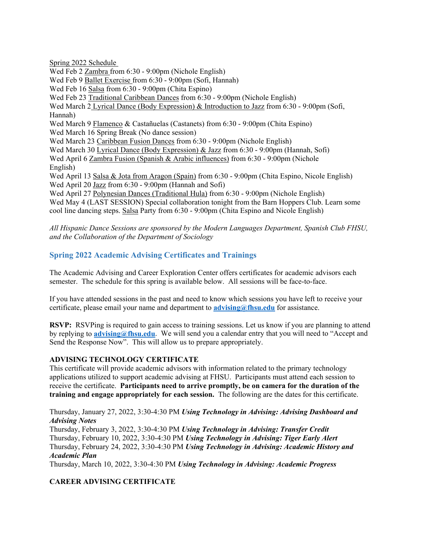Spring 2022 Schedule

Wed Feb 2 Zambra from 6:30 - 9:00pm (Nichole English)

Wed Feb 9 Ballet Exercise from 6:30 - 9:00pm (Sofi, Hannah)

Wed Feb 16 Salsa from 6:30 - 9:00pm (Chita Espino)

Wed Feb 23 Traditional Caribbean Dances from 6:30 - 9:00pm (Nichole English)

Wed March 2 Lyrical Dance (Body Expression) & Introduction to Jazz from 6:30 - 9:00pm (Sofi, Hannah)

Wed March 9 Flamenco & Castañuelas (Castanets) from 6:30 - 9:00pm (Chita Espino) Wed March 16 Spring Break (No dance session)

Wed March 23 Caribbean Fusion Dances from 6:30 - 9:00pm (Nichole English)

Wed March 30 Lyrical Dance (Body Expression) & Jazz from 6:30 - 9:00pm (Hannah, Sofi)

Wed April 6 Zambra Fusion (Spanish & Arabic influences) from 6:30 - 9:00pm (Nichole English)

Wed April 13 Salsa & Jota from Aragon (Spain) from 6:30 - 9:00pm (Chita Espino, Nicole English) Wed April 20 Jazz from 6:30 - 9:00pm (Hannah and Sofi)

Wed April 27 Polynesian Dances (Traditional Hula) from 6:30 - 9:00pm (Nichole English) Wed May 4 (LAST SESSION) Special collaboration tonight from the Barn Hoppers Club. Learn some cool line dancing steps. Salsa Party from 6:30 - 9:00pm (Chita Espino and Nicole English)

*All Hispanic Dance Sessions are sponsored by the Modern Languages Department, Spanish Club FHSU, and the Collaboration of the Department of Sociology*

## <span id="page-6-0"></span>**Spring 2022 Academic Advising Certificates and Trainings**

The Academic Advising and Career Exploration Center offers certificates for academic advisors each semester. The schedule for this spring is available below. All sessions will be face-to-face.

If you have attended sessions in the past and need to know which sessions you have left to receive your certificate, please email your name and department to **[advising@fhsu.edu](mailto:advising@fhsu.edu)** for assistance.

**RSVP:** RSVPing is required to gain access to training sessions. Let us know if you are planning to attend by replying to **[advising@fhsu.edu](mailto:advising@fhsu.edu)**. We will send you a calendar entry that you will need to "Accept and Send the Response Now". This will allow us to prepare appropriately.

## **ADVISING TECHNOLOGY CERTIFICATE**

This certificate will provide academic advisors with information related to the primary technology applications utilized to support academic advising at FHSU. Participants must attend each session to receive the certificate. **Participants need to arrive promptly, be on camera for the duration of the training and engage appropriately for each session.** The following are the dates for this certificate.

Thursday, January 27, 2022, 3:30-4:30 PM *Using Technology in Advising: Advising Dashboard and Advising Notes*

Thursday, February 3, 2022, 3:30-4:30 PM *Using Technology in Advising: Transfer Credit* Thursday, February 10, 2022, 3:30-4:30 PM *Using Technology in Advising: Tiger Early Alert* Thursday, February 24, 2022, 3:30-4:30 PM *Using Technology in Advising: Academic History and Academic Plan*

Thursday, March 10, 2022, 3:30-4:30 PM *Using Technology in Advising: Academic Progress*

## **CAREER ADVISING CERTIFICATE**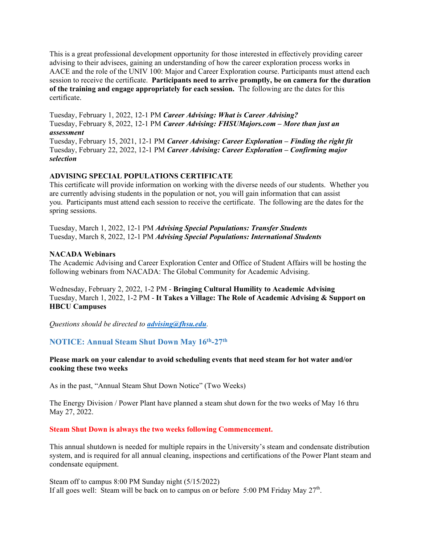This is a great professional development opportunity for those interested in effectively providing career advising to their advisees, gaining an understanding of how the career exploration process works in AACE and the role of the UNIV 100: Major and Career Exploration course. Participants must attend each session to receive the certificate. **Participants need to arrive promptly, be on camera for the duration of the training and engage appropriately for each session.** The following are the dates for this certificate.

Tuesday, February 1, 2022, 12-1 PM *Career Advising: What is Career Advising?* Tuesday, February 8, 2022, 12-1 PM *Career Advising: FHSUMajors.com – More than just an assessment*

Tuesday, February 15, 2021, 12-1 PM *Career Advising: Career Exploration – Finding the right fit* Tuesday, February 22, 2022, 12-1 PM *Career Advising: Career Exploration – Confirming major selection*

## **ADVISING SPECIAL POPULATIONS CERTIFICATE**

This certificate will provide information on working with the diverse needs of our students. Whether you are currently advising students in the population or not, you will gain information that can assist you. Participants must attend each session to receive the certificate. The following are the dates for the spring sessions.

Tuesday, March 1, 2022, 12-1 PM *Advising Special Populations: Transfer Students* Tuesday, March 8, 2022, 12-1 PM *Advising Special Populations: International Students*

#### **NACADA Webinars**

The Academic Advising and Career Exploration Center and Office of Student Affairs will be hosting the following webinars from NACADA: The Global Community for Academic Advising.

Wednesday, February 2, 2022, 1-2 PM - **Bringing Cultural Humility to Academic Advising** Tuesday, March 1, 2022, 1-2 PM - **It Takes a Village: The Role of Academic Advising & Support on HBCU Campuses**

*Questions should be directed to [advising@fhsu.edu](mailto:advising@fhsu.edu).*

## <span id="page-7-0"></span>**NOTICE: Annual Steam Shut Down May 16th-27th**

#### **Please mark on your calendar to avoid scheduling events that need steam for hot water and/or cooking these two weeks**

As in the past, "Annual Steam Shut Down Notice" (Two Weeks)

The Energy Division / Power Plant have planned a steam shut down for the two weeks of May 16 thru May 27, 2022.

#### **Steam Shut Down is always the two weeks following Commencement.**

This annual shutdown is needed for multiple repairs in the University's steam and condensate distribution system, and is required for all annual cleaning, inspections and certifications of the Power Plant steam and condensate equipment.

Steam off to campus 8:00 PM Sunday night (5/15/2022) If all goes well: Steam will be back on to campus on or before 5:00 PM Friday May  $27<sup>th</sup>$ .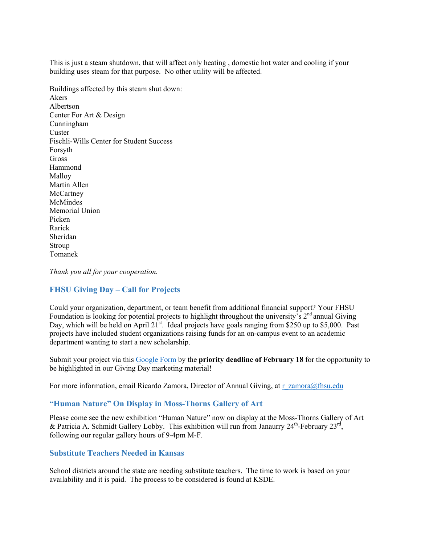This is just a steam shutdown, that will affect only heating , domestic hot water and cooling if your building uses steam for that purpose. No other utility will be affected.

Buildings affected by this steam shut down: Akers Albertson Center For Art & Design Cunningham **Custer** Fischli-Wills Center for Student Success Forsyth **Gross** Hammond Malloy Martin Allen **McCartney** McMindes Memorial Union Picken Rarick Sheridan Stroup Tomanek

*Thank you all for your cooperation.*

#### <span id="page-8-0"></span>**FHSU Giving Day – Call for Projects**

Could your organization, department, or team benefit from additional financial support? Your FHSU Foundation is looking for potential projects to highlight throughout the university's  $2<sup>nd</sup>$  annual Giving Day, which will be held on April  $21^{st}$ . Ideal projects have goals ranging from \$250 up to \$5,000. Past projects have included student organizations raising funds for an on-campus event to an academic department wanting to start a new scholarship.

Submit your project via this [Google Form](https://docs.google.com/forms/d/e/1FAIpQLSfGGdZN44-oAR4DK91KIVMj0xqlPZb_u2aSW9911W5o8lF0HQ/viewform?usp=sf_link) by the **priority deadline of February 18** for the opportunity to be highlighted in our Giving Day marketing material!

For more information, email Ricardo Zamora, Director of Annual Giving, at [r\\_zamora@fhsu.edu](mailto:r_zamora@fhsu.edu)

#### <span id="page-8-1"></span>**"Human Nature" On Display in Moss-Thorns Gallery of Art**

Please come see the new exhibition "Human Nature" now on display at the Moss-Thorns Gallery of Art & Patricia A. Schmidt Gallery Lobby. This exhibition will run from Janaurry  $24^{\text{th}}$ -February  $23^{\text{rd}}$ , following our regular gallery hours of 9-4pm M-F.

#### <span id="page-8-2"></span>**Substitute Teachers Needed in Kansas**

School districts around the state are needing substitute teachers. The time to work is based on your availability and it is paid. The process to be considered is found at KSDE.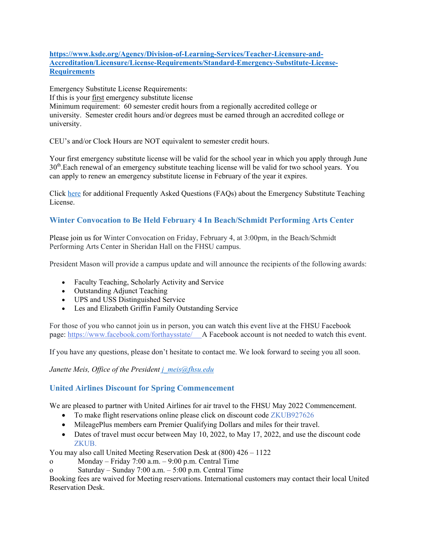## **[https://www.ksde.org/Agency/Division-of-Learning-Services/Teacher-Licensure-and-](https://linkprotect.cudasvc.com/url?a=https%3a%2f%2fwww.ksde.org%2fAgency%2fDivision-of-Learning-Services%2fTeacher-Licensure-and-Accreditation%2fLicensure%2fLicense-Requirements%2fStandard-Emergency-Substitute-License-Requirements&c=E,1,ldoVoUsqgu2Y5EpVFBdkz0I-ocK_c-YvMpLTu-KRLoRwWo-bS5u_MczWtji7H3MqCpv4WMXZBrKB9moJZvQJuhB_16eHvuP2UThiDdRwsfTkwTH3feA,&typo=1)[Accreditation/Licensure/License-Requirements/Standard-Emergency-Substitute-License-](https://linkprotect.cudasvc.com/url?a=https%3a%2f%2fwww.ksde.org%2fAgency%2fDivision-of-Learning-Services%2fTeacher-Licensure-and-Accreditation%2fLicensure%2fLicense-Requirements%2fStandard-Emergency-Substitute-License-Requirements&c=E,1,ldoVoUsqgu2Y5EpVFBdkz0I-ocK_c-YvMpLTu-KRLoRwWo-bS5u_MczWtji7H3MqCpv4WMXZBrKB9moJZvQJuhB_16eHvuP2UThiDdRwsfTkwTH3feA,&typo=1)[Requirements](https://linkprotect.cudasvc.com/url?a=https%3a%2f%2fwww.ksde.org%2fAgency%2fDivision-of-Learning-Services%2fTeacher-Licensure-and-Accreditation%2fLicensure%2fLicense-Requirements%2fStandard-Emergency-Substitute-License-Requirements&c=E,1,ldoVoUsqgu2Y5EpVFBdkz0I-ocK_c-YvMpLTu-KRLoRwWo-bS5u_MczWtji7H3MqCpv4WMXZBrKB9moJZvQJuhB_16eHvuP2UThiDdRwsfTkwTH3feA,&typo=1)**

Emergency Substitute License Requirements: If this is your first emergency substitute license Minimum requirement: 60 semester credit hours from a regionally accredited college or university. Semester credit hours and/or degrees must be earned through an accredited college or university.

CEU's and/or Clock Hours are NOT equivalent to semester credit hours.

Your first emergency substitute license will be valid for the school year in which you apply through June 30<sup>th</sup>.Each renewal of an emergency substitute teaching license will be valid for two school years. You can apply to renew an emergency substitute license in February of the year it expires.

Click [here](https://linkprotect.cudasvc.com/url?a=https%3a%2f%2fwww.ksde.org%2fDefault.aspx%3ftabid%3d1037&c=E,1,59SgJzRFYiOeo360gJauZ7PxzbuUnZEOGEXMrUVEcqTBnG45YAfTDzSC_HyeXXAnt-Z3HxNRZH-LO3lfn5Y_o96vmJjSUW9RwH61dZ6aJclD-PQpaOcK&typo=1) for additional Frequently Asked Questions (FAQs) about the Emergency Substitute Teaching License.

## <span id="page-9-0"></span>**Winter Convocation to Be Held February 4 In Beach/Schmidt Performing Arts Center**

Please join us for Winter Convocation on Friday, February 4, at 3:00pm, in the Beach/Schmidt Performing Arts Center in Sheridan Hall on the FHSU campus.

President Mason will provide a campus update and will announce the recipients of the following awards:

- Faculty Teaching, Scholarly Activity and Service
- Outstanding Adjunct Teaching
- UPS and USS Distinguished Service
- Les and Elizabeth Griffin Family Outstanding Service

For those of you who cannot join us in person, you can watch this event live at the FHSU Facebook page: <https://www.facebook.com/forthaysstate/> A Facebook account is not needed to watch this event.

If you have any questions, please don't hesitate to contact me. We look forward to seeing you all soon.

*Janette Meis, Office of the President [j\\_meis@fhsu.edu](mailto:j_meis@fhsu.edu)*

## <span id="page-9-1"></span>**United Airlines Discount for Spring Commencement**

We are pleased to partner with United Airlines for air travel to the FHSU May 2022 Commencement.

- To make flight reservations online please click on discount code ZKUB927626
- MileagePlus members earn Premier Qualifying Dollars and miles for their travel.
- Dates of travel must occur between May 10, 2022, to May 17, 2022, and use the discount code ZKUB.

You may also call United Meeting Reservation Desk at (800) 426 – 1122

- o Monday Friday 7:00 a.m. 9:00 p.m. Central Time
- o Saturday Sunday 7:00 a.m. 5:00 p.m. Central Time

Booking fees are waived for Meeting reservations. International customers may contact their local United Reservation Desk.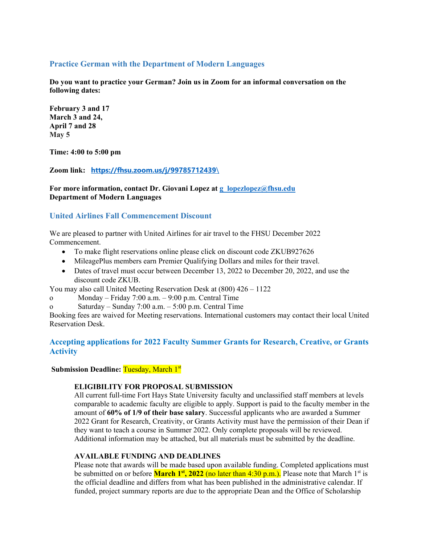## <span id="page-10-0"></span>**Practice German with the Department of Modern Languages**

**Do you want to practice your German? Join us in Zoom for an informal conversation on the following dates:**

**February 3 and 17 March 3 and 24, April 7 and 28 May 5**

**Time: 4:00 to 5:00 pm**

**Zoom link: [https://fhsu.zoom.us/j/99785712439](https://fhsu.zoom.us/j/99785712439/)**\

**For more information, contact Dr. Giovani Lopez at [g\\_lopezlopez@fhsu.edu](mailto:g_lopezlopez@fhsu.edu) Department of Modern Languages**

## <span id="page-10-1"></span>**United Airlines Fall Commencement Discount**

We are pleased to partner with United Airlines for air travel to the FHSU December 2022 Commencement.

- To make flight reservations online please click on discount code ZKUB927626
- MileagePlus members earn Premier Qualifying Dollars and miles for their travel.
- Dates of travel must occur between December 13, 2022 to December 20, 2022, and use the discount code ZKUB.

You may also call United Meeting Reservation Desk at (800) 426 – 1122

- o Monday Friday 7:00 a.m. 9:00 p.m. Central Time
- o Saturday Sunday 7:00 a.m. 5:00 p.m. Central Time

Booking fees are waived for Meeting reservations. International customers may contact their local United Reservation Desk.

## <span id="page-10-2"></span>**Accepting applications for 2022 Faculty Summer Grants for Research, Creative, or Grants Activity**

**Submission Deadline: Tuesday, March 1st** 

#### **ELIGIBILITY FOR PROPOSAL SUBMISSION**

All current full-time Fort Hays State University faculty and unclassified staff members at levels comparable to academic faculty are eligible to apply. Support is paid to the faculty member in the amount of **60% of 1/9 of their base salary**. Successful applicants who are awarded a Summer 2022 Grant for Research, Creativity, or Grants Activity must have the permission of their Dean if they want to teach a course in Summer 2022. Only complete proposals will be reviewed. Additional information may be attached, but all materials must be submitted by the deadline.

#### **AVAILABLE FUNDING AND DEADLINES**

Please note that awards will be made based upon available funding. Completed applications must be submitted on or before **March 1<sup>st</sup>, 2022** (no later than 4:30 p.m.). Please note that March 1<sup>st</sup> is the official deadline and differs from what has been published in the administrative calendar. If funded, project summary reports are due to the appropriate Dean and the Office of Scholarship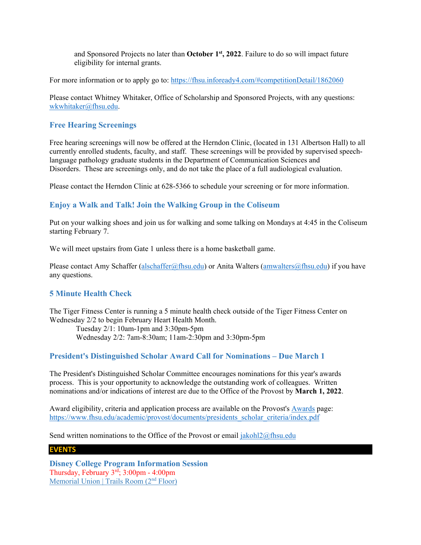and Sponsored Projects no later than **October 1st, 2022**. Failure to do so will impact future eligibility for internal grants.

For more information or to apply go to:<https://fhsu.infoready4.com/#competitionDetail/1862060>

Please contact Whitney Whitaker, Office of Scholarship and Sponsored Projects, with any questions: [wkwhitaker@fhsu.edu.](mailto:mjkoonse@fhsu.edu)

## <span id="page-11-0"></span>**Free Hearing Screenings**

Free hearing screenings will now be offered at the Herndon Clinic, (located in 131 Albertson Hall) to all currently enrolled students, faculty, and staff. These screenings will be provided by supervised speechlanguage pathology graduate students in the Department of Communication Sciences and Disorders. These are screenings only, and do not take the place of a full audiological evaluation.

Please contact the Herndon Clinic at 628-5366 to schedule your screening or for more information.

## <span id="page-11-1"></span>**Enjoy a Walk and Talk! Join the Walking Group in the Coliseum**

Put on your walking shoes and join us for walking and some talking on Mondays at 4:45 in the Coliseum starting February 7.

We will meet upstairs from Gate 1 unless there is a home basketball game.

Please contact Amy Schaffer [\(alschaffer@fhsu.edu\)](mailto:alschaffer@fhsu.edu) or Anita Walters [\(amwalters@fhsu.edu\)](mailto:amwalters@fhsu.edu) if you have any questions.

## <span id="page-11-2"></span>**5 Minute Health Check**

The Tiger Fitness Center is running a 5 minute health check outside of the Tiger Fitness Center on Wednesday 2/2 to begin February Heart Health Month.

 Tuesday 2/1: 10am-1pm and 3:30pm-5pm Wednesday 2/2: 7am-8:30am; 11am-2:30pm and 3:30pm-5pm

#### <span id="page-11-3"></span>**President's Distinguished Scholar Award Call for Nominations – Due March 1**

The President's Distinguished Scholar Committee encourages nominations for this year's awards process. This is your opportunity to acknowledge the outstanding work of colleagues. Written nominations and/or indications of interest are due to the Office of the Provost by **March 1, 2022**.

Award eligibility, criteria and application process are available on the Provost's [Awards](https://www.fhsu.edu/academic/provost/awards/) page: [https://www.fhsu.edu/academic/provost/documents/presidents\\_scholar\\_criteria/index.pdf](https://www.fhsu.edu/academic/provost/documents/presidents_scholar_criteria/index.pdf)

Send written nominations to the Office of the Provost or email [jakohl2@fhsu.edu](mailto:jakohl2@fhsu.edu)

#### <span id="page-11-4"></span>**EVENTS**

**Disney College Program Information Session** Thursday, February 3rd; 3:00pm - 4:00pm [Memorial Union | Trails Room \(2](https://app.joinhandshake.com/schools/622)<sup>nd</sup> Floor)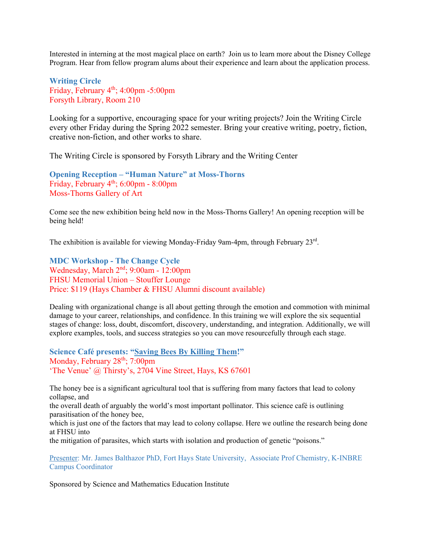Interested in interning at the most magical place on earth? Join us to learn more about the Disney College Program. Hear from fellow program alums about their experience and learn about the application process.

<span id="page-12-0"></span>**Writing Circle**  Friday, February  $4<sup>th</sup>$ ; 4:00pm -5:00pm Forsyth Library, Room 210

Looking for a supportive, encouraging space for your writing projects? Join the Writing Circle every other Friday during the Spring 2022 semester. Bring your creative writing, poetry, fiction, creative non-fiction, and other works to share.

The Writing Circle is sponsored by Forsyth Library and the Writing Center

**Opening Reception – "Human Nature" at Moss-Thorns** Friday, February 4<sup>th</sup>; 6:00pm - 8:00pm Moss-Thorns Gallery of Art

Come see the new exhibition being held now in the Moss-Thorns Gallery! An opening reception will be being held!

The exhibition is available for viewing Monday-Friday 9am-4pm, through February 23rd.

<span id="page-12-2"></span>**MDC Workshop - The Change Cycle**  Wednesday, March 2nd; 9:00am - 12:00pm FHSU Memorial Union – Stouffer Lounge Price: \$119 (Hays Chamber & FHSU Alumni discount available)

Dealing with organizational change is all about getting through the emotion and commotion with minimal damage to your career, relationships, and confidence. In this training we will explore the six sequential stages of change: loss, doubt, discomfort, discovery, understanding, and integration. Additionally, we will explore examples, tools, and success strategies so you can move resourcefully through each stage.

<span id="page-12-1"></span>**Science Café presents: "Saving Bees By Killing Them!"** Monday, February 28<sup>th</sup>; 7:00pm 'The Venue' @ Thirsty's, 2704 Vine Street, Hays, KS 67601

The honey bee is a significant agricultural tool that is suffering from many factors that lead to colony collapse, and

the overall death of arguably the world's most important pollinator. This science café is outlining parasitisation of the honey bee,

which is just one of the factors that may lead to colony collapse. Here we outline the research being done at FHSU into

the mitigation of parasites, which starts with isolation and production of genetic "poisons."

Presenter: Mr. James Balthazor PhD, Fort Hays State University, Associate Prof Chemistry, K-INBRE Campus Coordinator

Sponsored by Science and Mathematics Education Institute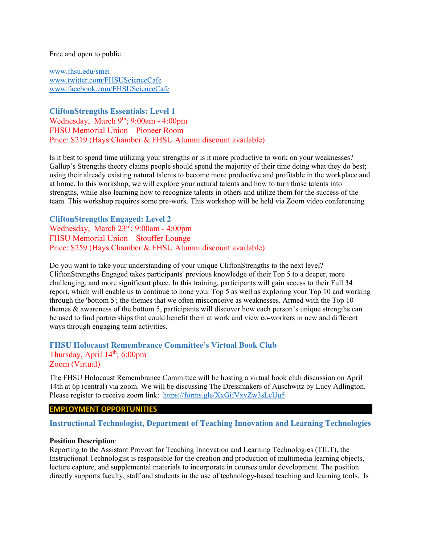Free and open to public.

[www.fhsu.edu/smei](http://www.fhsu.edu/smei) [www.twitter.com/FHSUScienceCafe](http://www.twitter.com/FHSUScienceCafe) [www.facebook.com/FHSUScienceCafe](http://www.facebook.com/FHSUScienceCafe)

**CliftonStrengths Essentials: Level 1**  Wednesday, March 9<sup>th</sup>; 9:00am - 4:00pm FHSU Memorial Union – Pioneer Room Price: \$219 (Hays Chamber & FHSU Alumni discount available)

Is it best to spend time utilizing your strengths or is it more productive to work on your weaknesses? Gallup's Strengths theory claims people should spend the majority of their time doing what they do best; using their already existing natural talents to become more productive and profitable in the workplace and at home. In this workshop, we will explore your natural talents and how to turn those talents into strengths, while also learning how to recognize talents in others and utilize them for the success of the team. This workshop requires some pre-work. This workshop will be held via Zoom video conferencing

<span id="page-13-0"></span>**CliftonStrengths Engaged: Level 2** Wednesday, March 23rd; 9:00am - 4:00pm FHSU Memorial Union – Stouffer Lounge Price: \$259 (Hays Chamber & FHSU Alumni discount available)

Do you want to take your understanding of your unique CliftonStrengths to the next level? CliftonStrengths Engaged takes participants' previous knowledge of their Top 5 to a deeper, more challenging, and more significant place. In this training, participants will gain access to their Full 34 report, which will enable us to continue to hone your Top 5 as well as exploring your Top 10 and working through the 'bottom 5'; the themes that we often misconceive as weaknesses. Armed with the Top 10 themes & awareness of the bottom 5, participants will discover how each person's unique strengths can be used to find partnerships that could benefit them at work and view co-workers in new and different ways through engaging team activities.

## <span id="page-13-1"></span>**FHSU Holocaust Remembrance Committee's Virtual Book Club** Thursday, April  $14<sup>th</sup>$ ; 6:00pm Zoom (Virtual)

The FHSU Holocaust Remembrance Committee will be hosting a virtual book club discussion on April 14th at 6p (central) via zoom. We will be discussing The Dressmakers of Auschwitz by Lucy Adlington. Please register to receive zoom link: <https://forms.gle/XxGifVxvZw3sLcUu5>

#### **EMPLOYMENT OPPORTUNITIES**

#### <span id="page-13-2"></span>**Instructional Technologist, Department of Teaching Innovation and Learning Technologies**

#### **Position Description**:

Reporting to the Assistant Provost for Teaching Innovation and Learning Technologies (TILT), the Instructional Technologist is responsible for the creation and production of multimedia learning objects, lecture capture, and supplemental materials to incorporate in courses under development. The position directly supports faculty, staff and students in the use of technology-based teaching and learning tools. Is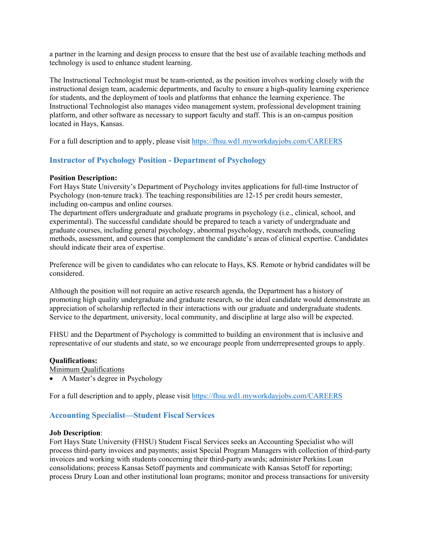a partner in the learning and design process to ensure that the best use of available teaching methods and technology is used to enhance student learning.

The Instructional Technologist must be team-oriented, as the position involves working closely with the instructional design team, academic departments, and faculty to ensure a high-quality learning experience for students, and the deployment of tools and platforms that enhance the learning experience. The Instructional Technologist also manages video management system, professional development training platform, and other software as necessary to support faculty and staff. This is an on-campus position located in Hays, Kansas.

For a full description and to apply, please visit<https://fhsu.wd1.myworkdayjobs.com/CAREERS>

## <span id="page-14-0"></span>**Instructor of Psychology Position - Department of Psychology**

#### **Position Description:**

Fort Hays State University's Department of Psychology invites applications for full-time Instructor of Psychology (non-tenure track). The teaching responsibilities are 12-15 per credit hours semester, including on-campus and online courses.

The department offers undergraduate and graduate programs in psychology (i.e., clinical, school, and experimental). The successful candidate should be prepared to teach a variety of undergraduate and graduate courses, including general psychology, abnormal psychology, research methods, counseling methods, assessment, and courses that complement the candidate's areas of clinical expertise. Candidates should indicate their area of expertise.

Preference will be given to candidates who can relocate to Hays, KS. Remote or hybrid candidates will be considered.

Although the position will not require an active research agenda, the Department has a history of promoting high quality undergraduate and graduate research, so the ideal candidate would demonstrate an appreciation of scholarship reflected in their interactions with our graduate and undergraduate students. Service to the department, university, local community, and discipline at large also will be expected.

FHSU and the Department of Psychology is committed to building an environment that is inclusive and representative of our students and state, so we encourage people from underrepresented groups to apply.

#### **Qualifications:**

Minimum Qualifications

• A Master's degree in Psychology

For a full description and to apply, please visit<https://fhsu.wd1.myworkdayjobs.com/CAREERS>

#### <span id="page-14-1"></span>**Accounting Specialist—Student Fiscal Services**

#### **Job Description**:

Fort Hays State University (FHSU) Student Fiscal Services seeks an Accounting Specialist who will process third-party invoices and payments; assist Special Program Managers with collection of third-party invoices and working with students concerning their third-party awards; administer Perkins Loan consolidations; process Kansas Setoff payments and communicate with Kansas Setoff for reporting; process Drury Loan and other institutional loan programs; monitor and process transactions for university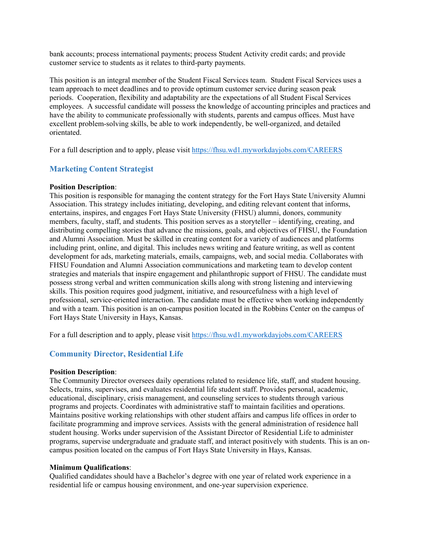bank accounts; process international payments; process Student Activity credit cards; and provide customer service to students as it relates to third-party payments.

This position is an integral member of the Student Fiscal Services team. Student Fiscal Services uses a team approach to meet deadlines and to provide optimum customer service during season peak periods. Cooperation, flexibility and adaptability are the expectations of all Student Fiscal Services employees. A successful candidate will possess the knowledge of accounting principles and practices and have the ability to communicate professionally with students, parents and campus offices. Must have excellent problem-solving skills, be able to work independently, be well-organized, and detailed orientated.

For a full description and to apply, please visit<https://fhsu.wd1.myworkdayjobs.com/CAREERS>

## <span id="page-15-0"></span>**Marketing Content Strategist**

#### **Position Description**:

This position is responsible for managing the content strategy for the Fort Hays State University Alumni Association. This strategy includes initiating, developing, and editing relevant content that informs, entertains, inspires, and engages Fort Hays State University (FHSU) alumni, donors, community members, faculty, staff, and students. This position serves as a storyteller – identifying, creating, and distributing compelling stories that advance the missions, goals, and objectives of FHSU, the Foundation and Alumni Association. Must be skilled in creating content for a variety of audiences and platforms including print, online, and digital. This includes news writing and feature writing, as well as content development for ads, marketing materials, emails, campaigns, web, and social media. Collaborates with FHSU Foundation and Alumni Association communications and marketing team to develop content strategies and materials that inspire engagement and philanthropic support of FHSU. The candidate must possess strong verbal and written communication skills along with strong listening and interviewing skills. This position requires good judgment, initiative, and resourcefulness with a high level of professional, service-oriented interaction. The candidate must be effective when working independently and with a team. This position is an on-campus position located in the Robbins Center on the campus of Fort Hays State University in Hays, Kansas.

For a full description and to apply, please visit<https://fhsu.wd1.myworkdayjobs.com/CAREERS>

## <span id="page-15-1"></span>**Community Director, Residential Life**

#### **Position Description**:

The Community Director oversees daily operations related to residence life, staff, and student housing. Selects, trains, supervises, and evaluates residential life student staff. Provides personal, academic, educational, disciplinary, crisis management, and counseling services to students through various programs and projects. Coordinates with administrative staff to maintain facilities and operations. Maintains positive working relationships with other student affairs and campus life offices in order to facilitate programming and improve services. Assists with the general administration of residence hall student housing. Works under supervision of the Assistant Director of Residential Life to administer programs, supervise undergraduate and graduate staff, and interact positively with students. This is an oncampus position located on the campus of Fort Hays State University in Hays, Kansas.

#### **Minimum Qualifications**:

Qualified candidates should have a Bachelor's degree with one year of related work experience in a residential life or campus housing environment, and one-year supervision experience.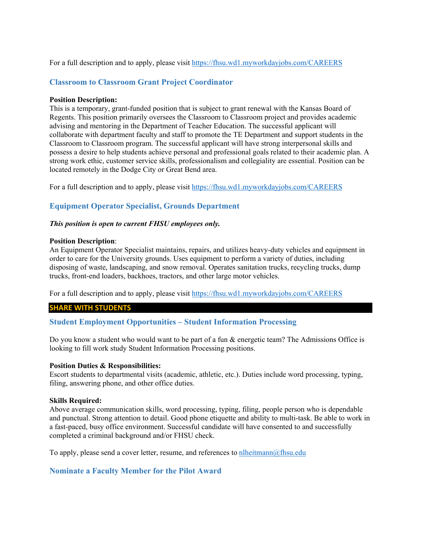#### For a full description and to apply, please visit<https://fhsu.wd1.myworkdayjobs.com/CAREERS>

## <span id="page-16-0"></span>**Classroom to Classroom Grant Project Coordinator**

#### **Position Description:**

This is a temporary, grant-funded position that is subject to grant renewal with the Kansas Board of Regents. This position primarily oversees the Classroom to Classroom project and provides academic advising and mentoring in the Department of Teacher Education. The successful applicant will collaborate with department faculty and staff to promote the TE Department and support students in the Classroom to Classroom program. The successful applicant will have strong interpersonal skills and possess a desire to help students achieve personal and professional goals related to their academic plan. A strong work ethic, customer service skills, professionalism and collegiality are essential. Position can be located remotely in the Dodge City or Great Bend area.

For a full description and to apply, please visit<https://fhsu.wd1.myworkdayjobs.com/CAREERS>

## <span id="page-16-1"></span>**Equipment Operator Specialist, Grounds Department**

#### *This position is open to current FHSU employees only.*

#### **Position Description**:

An Equipment Operator Specialist maintains, repairs, and utilizes heavy-duty vehicles and equipment in order to care for the University grounds. Uses equipment to perform a variety of duties, including disposing of waste, landscaping, and snow removal. Operates sanitation trucks, recycling trucks, dump trucks, front-end loaders, backhoes, tractors, and other large motor vehicles.

For a full description and to apply, please visit<https://fhsu.wd1.myworkdayjobs.com/CAREERS>

#### **SHARE WITH STUDENTS**

#### <span id="page-16-2"></span>**Student Employment Opportunities – Student Information Processing**

Do you know a student who would want to be part of a fun & energetic team? The Admissions Office is looking to fill work study Student Information Processing positions.

#### **Position Duties & Responsibilities:**

Escort students to departmental visits (academic, athletic, etc.). Duties include word processing, typing, filing, answering phone, and other office duties.

#### **Skills Required:**

Above average communication skills, word processing, typing, filing, people person who is dependable and punctual. Strong attention to detail. Good phone etiquette and ability to multi-task. Be able to work in a fast-paced, busy office environment. Successful candidate will have consented to and successfully completed a criminal background and/or FHSU check.

To apply, please send a cover letter, resume, and references to nlheitmann $@$ fhsu.edu

## <span id="page-16-3"></span>**Nominate a Faculty Member for the Pilot Award**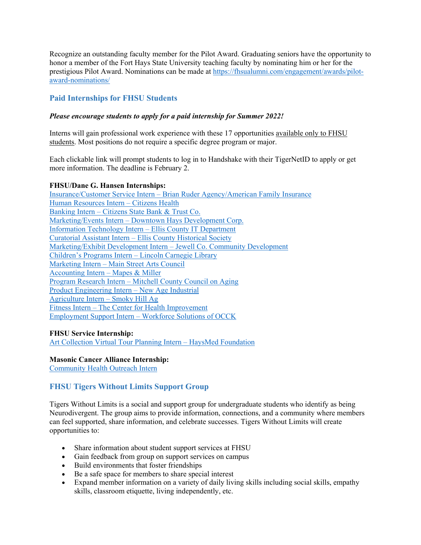Recognize an outstanding faculty member for the Pilot Award. Graduating seniors have the opportunity to honor a member of the Fort Hays State University teaching faculty by nominating him or her for the prestigious Pilot Award. Nominations can be made at [https://fhsualumni.com/engagement/awards/pilot](https://fhsualumni.com/engagement/awards/pilot-award-nominations/)[award-nominations/](https://fhsualumni.com/engagement/awards/pilot-award-nominations/)

## <span id="page-17-0"></span>**Paid Internships for FHSU Students**

#### *Please encourage students to apply for a paid internship for Summer 2022!*

Interns will gain professional work experience with these 17 opportunities available only to FHSU students. Most positions do not require a specific degree program or major.

Each clickable link will prompt students to log in to Handshake with their TigerNetID to apply or get more information. The deadline is February 2.

#### **FHSU/Dane G. Hansen Internships:**

Insurance/Customer Service Intern – [Brian Ruder Agency/American Family Insurance](https://fhsu.joinhandshake.com/jobs/5752776/share_preview) [Human Resources Intern –](https://fhsu.joinhandshake.com/jobs/5704721/share_preview) Citizens Health Banking Intern – [Citizens State Bank & Trust Co.](https://fhsu.joinhandshake.com/jobs/5705333/share_preview) Marketing/Events Intern – [Downtown Hays Development Corp.](https://fhsu.joinhandshake.com/jobs/5757525/share_preview) [Information Technology Intern –](https://fhsu.joinhandshake.com/jobs/5758581/share_preview) Ellis County IT Department Curatorial Assistant Intern – [Ellis County Historical Society](https://fhsu.joinhandshake.com/jobs/5759572/share_preview) [Marketing/Exhibit Development Intern –](https://fhsu.joinhandshake.com/jobs/5708146/share_preview) Jewell Co. Community Development [Children's Programs Intern –](https://fhsu.joinhandshake.com/jobs/5714693/share_preview) Lincoln Carnegie Library Marketing Intern – [Main Street Arts Council](https://fhsu.joinhandshake.com/jobs/5739420/share_preview) [Accounting Intern –](https://fhsu.joinhandshake.com/jobs/5741215/share_preview) Mapes & Miller Program Research Intern – [Mitchell County Council on Aging](https://fhsu.joinhandshake.com/jobs/5743317/share_preview) [Product Engineering Intern –](https://fhsu.joinhandshake.com/jobs/5748400/share_preview) New Age Industrial [Agriculture Intern –](https://fhsu.joinhandshake.com/jobs/5749528/share_preview) Smoky Hill Ag Fitness Intern – [The Center for Health Improvement](https://fhsu.joinhandshake.com/jobs/5770425/share_preview) Employment Support Intern – [Workforce Solutions of OCCK](https://fhsu.joinhandshake.com/jobs/5752081/share_preview)

#### **FHSU Service Internship:**

[Art Collection Virtual Tour Planning Intern –](https://fhsu.joinhandshake.com/jobs/5699269/share_preview) HaysMed Foundation

#### **Masonic Cancer Alliance Internship:**

[Community Health Outreach Intern](https://fhsu.joinhandshake.com/jobs/5588789/share_preview)

## <span id="page-17-1"></span>**FHSU Tigers Without Limits Support Group**

Tigers Without Limits is a social and support group for undergraduate students who identify as being Neurodivergent. The group aims to provide information, connections, and a community where members can feel supported, share information, and celebrate successes. Tigers Without Limits will create opportunities to:

- Share information about student support services at FHSU
- Gain feedback from group on support services on campus
- Build environments that foster friendships
- Be a safe space for members to share special interest
- Expand member information on a variety of daily living skills including social skills, empathy skills, classroom etiquette, living independently, etc.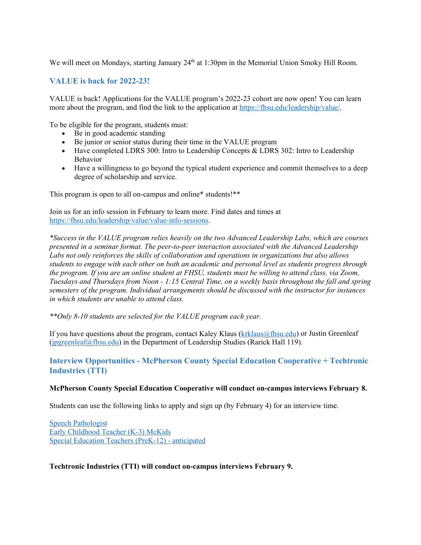We will meet on Mondays, starting January  $24<sup>th</sup>$  at 1:30pm in the Memorial Union Smoky Hill Room.

## <span id="page-18-0"></span>**VALUE is back for 2022-23!**

VALUE is back! Applications for the VALUE program's 2022-23 cohort are now open! You can learn more about the program, and find the link to the application at [https://fhsu.edu/leadership/value/.](https://fhsu.edu/leadership/value/)

To be eligible for the program, students must:

- Be in good academic standing
- Be junior or senior status during their time in the VALUE program
- Have completed LDRS 300: Intro to Leadership Concepts & LDRS 302: Intro to Leadership Behavior
- Have a willingness to go beyond the typical student experience and commit themselves to a deep degree of scholarship and service.

This program is open to all on-campus and online\* students!\*\*

Join us for an info session in February to learn more. Find dates and times at [https://fhsu.edu/leadership/value/value-info-sessions.](https://fhsu.edu/leadership/value/value-info-sessions) 

*\*Success in the VALUE program relies heavily on the two Advanced Leadership Labs, which are courses presented in a seminar format. The peer-to-peer interaction associated with the Advanced Leadership Labs not only reinforces the skills of collaboration and operations in organizations but also allows students to engage with each other on both an academic and personal level as students progress through the program. If you are an online student at FHSU, students must be willing to attend class, via Zoom, Tuesdays and Thursdays from Noon - 1:15 Central Time, on a weekly basis throughout the fall and spring semesters of the program. Individual arrangements should be discussed with the instructor for instances in which students are unable to attend class.*

*\*\*Only 8-10 students are selected for the VALUE program each year.*

If you have questions about the program, contact Kaley Klaus [\(krklaus@fhsu.edu\)](mailto:krklaus@fhsu.edu) or Justin Greenleaf (jpgreenleaf $@f$ hsu.edu) in the Department of Leadership Studies (Rarick Hall 119).

## <span id="page-18-1"></span>**Interview Opportunities - McPherson County Special Education Cooperative + Techtronic Industries (TTI)**

#### **McPherson County Special Education Cooperative will conduct on-campus interviews February 8.**

Students can use the following links to apply and sign up (by February 4) for an interview time.

[Speech Pathologist](https://fhsu.joinhandshake.com/jobs/5762496/share_preview) [Early Childhood Teacher \(K-3\) McKids](https://fhsu.joinhandshake.com/jobs/5764246/share_preview) [Special Education Teachers \(PreK-12\) -](https://fhsu.joinhandshake.com/jobs/5678196/share_preview) anticipated

#### **Techtronic Industries (TTI) will conduct on-campus interviews February 9.**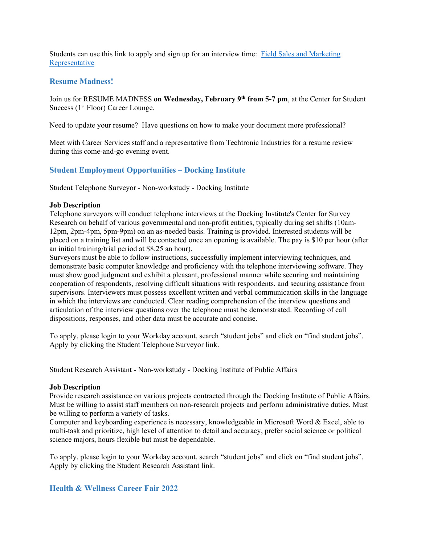Students can use this link to apply and sign up for an interview time: [Field Sales and Marketing](https://fhsu.joinhandshake.com/jobs/5834065/share_preview)  [Representative](https://fhsu.joinhandshake.com/jobs/5834065/share_preview)

## <span id="page-19-0"></span>**Resume Madness!**

Join us for RESUME MADNESS **on Wednesday, February 9th from 5-7 pm**, at the Center for Student Success  $(1<sup>st</sup> Floor) Career Lounge.$ 

Need to update your resume? Have questions on how to make your document more professional?

Meet with Career Services staff and a representative from Techtronic Industries for a resume review during this come-and-go evening event.

## <span id="page-19-1"></span>**Student Employment Opportunities – Docking Institute**

Student Telephone Surveyor - Non-workstudy - Docking Institute

#### **Job Description**

Telephone surveyors will conduct telephone interviews at the Docking Institute's Center for Survey Research on behalf of various governmental and non-profit entities, typically during set shifts (10am-12pm, 2pm-4pm, 5pm-9pm) on an as-needed basis. Training is provided. Interested students will be placed on a training list and will be contacted once an opening is available. The pay is \$10 per hour (after an initial training/trial period at \$8.25 an hour).

Surveyors must be able to follow instructions, successfully implement interviewing techniques, and demonstrate basic computer knowledge and proficiency with the telephone interviewing software. They must show good judgment and exhibit a pleasant, professional manner while securing and maintaining cooperation of respondents, resolving difficult situations with respondents, and securing assistance from supervisors. Interviewers must possess excellent written and verbal communication skills in the language in which the interviews are conducted. Clear reading comprehension of the interview questions and articulation of the interview questions over the telephone must be demonstrated. Recording of call dispositions, responses, and other data must be accurate and concise.

To apply, please login to your Workday account, search "student jobs" and click on "find student jobs". Apply by clicking the Student Telephone Surveyor link.

Student Research Assistant - Non-workstudy - Docking Institute of Public Affairs

#### **Job Description**

Provide research assistance on various projects contracted through the Docking Institute of Public Affairs. Must be willing to assist staff members on non-research projects and perform administrative duties. Must be willing to perform a variety of tasks.

Computer and keyboarding experience is necessary, knowledgeable in Microsoft Word & Excel, able to multi-task and prioritize, high level of attention to detail and accuracy, prefer social science or political science majors, hours flexible but must be dependable.

To apply, please login to your Workday account, search "student jobs" and click on "find student jobs". Apply by clicking the Student Research Assistant link.

## <span id="page-19-2"></span>**Health & Wellness Career Fair 2022**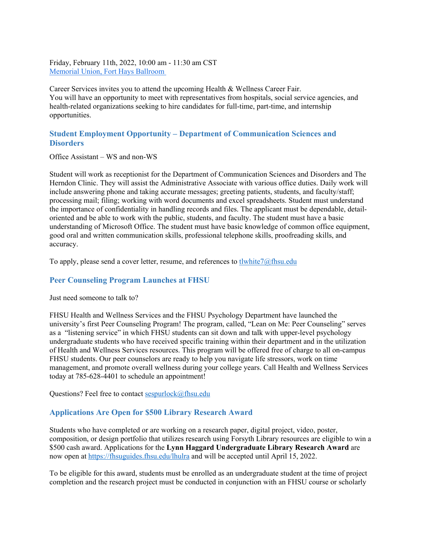Friday, February 11th, 2022, 10:00 am - 11:30 am CST [Memorial Union, Fort Hays Ballroom](http://maps.google.com/?q=Memorial%20Union,%20Fort%20Hays%20Ballroom)

Career Services invites you to attend the upcoming Health & Wellness Career Fair. You will have an opportunity to meet with representatives from hospitals, social service agencies, and health-related organizations seeking to hire candidates for full-time, part-time, and internship opportunities.

## <span id="page-20-0"></span>**Student Employment Opportunity – Department of Communication Sciences and Disorders**

Office Assistant – WS and non-WS

Student will work as receptionist for the Department of Communication Sciences and Disorders and The Herndon Clinic. They will assist the Administrative Associate with various office duties. Daily work will include answering phone and taking accurate messages; greeting patients, students, and faculty/staff; processing mail; filing; working with word documents and excel spreadsheets. Student must understand the importance of confidentiality in handling records and files. The applicant must be dependable, detailoriented and be able to work with the public, students, and faculty. The student must have a basic understanding of Microsoft Office. The student must have basic knowledge of common office equipment, good oral and written communication skills, professional telephone skills, proofreading skills, and accuracy.

To apply, please send a cover letter, resume, and references to [tlwhite7@fhsu.edu](mailto:tlwhite7@fhsu.edu)

## <span id="page-20-1"></span>**Peer Counseling Program Launches at FHSU**

Just need someone to talk to?

FHSU Health and Wellness Services and the FHSU Psychology Department have launched the university's first Peer Counseling Program! The program, called, "Lean on Me: Peer Counseling" serves as a "listening service" in which FHSU students can sit down and talk with upper-level psychology undergraduate students who have received specific training within their department and in the utilization of Health and Wellness Services resources. This program will be offered free of charge to all on-campus FHSU students. Our peer counselors are ready to help you navigate life stressors, work on time management, and promote overall wellness during your college years. Call Health and Wellness Services today at 785-628-4401 to schedule an appointment!

Questions? Feel free to contact [sespurlock@fhsu.edu](mailto:sespurlock@fhsu.edu)

## <span id="page-20-2"></span>**Applications Are Open for \$500 Library Research Award**

Students who have completed or are working on a research paper, digital project, video, poster, composition, or design portfolio that utilizes research using Forsyth Library resources are eligible to win a \$500 cash award. Applications for the **Lynn Haggard Undergraduate Library Research Award** are now open at<https://fhsuguides.fhsu.edu/lhulra> and will be accepted until April 15, 2022.

To be eligible for this award, students must be enrolled as an undergraduate student at the time of project completion and the research project must be conducted in conjunction with an FHSU course or scholarly